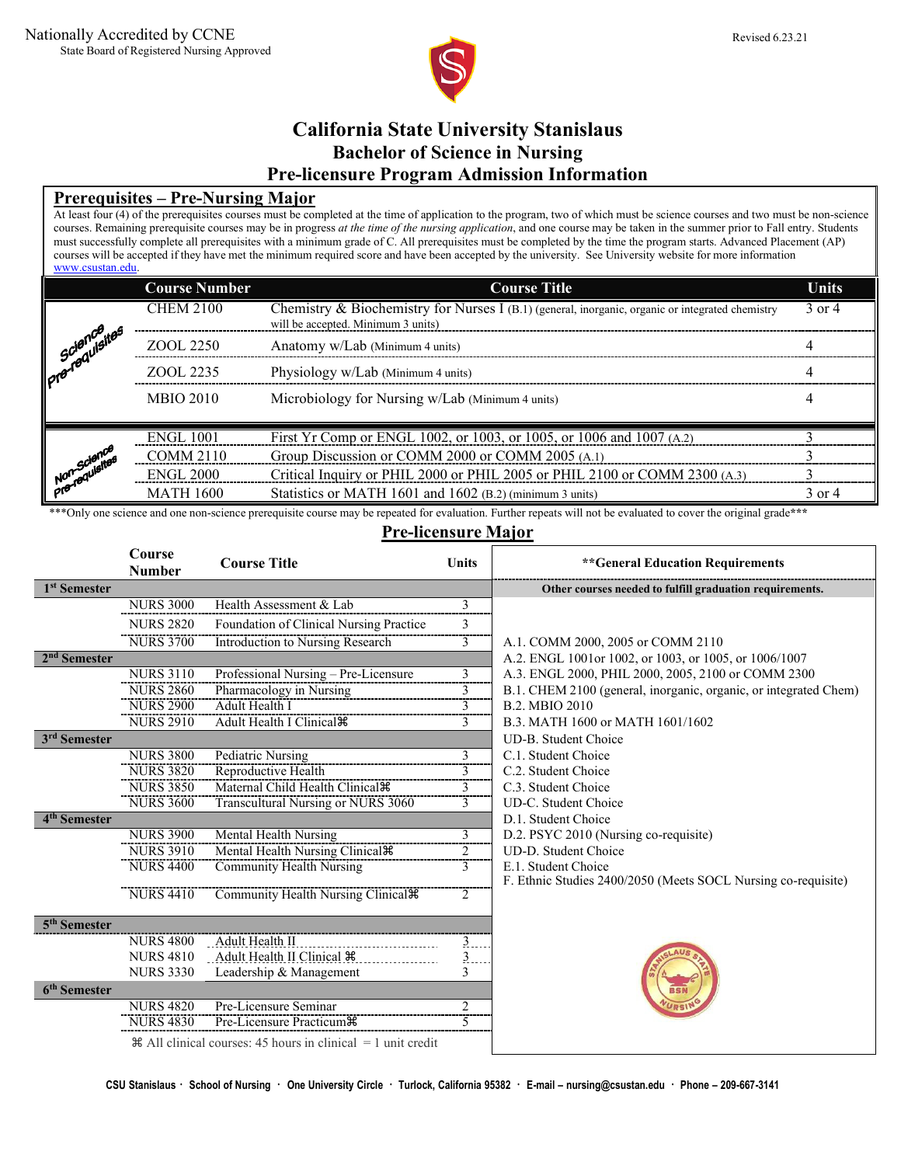

# **California State University Stanislaus Bachelor of Science in Nursing Pre-licensure Program Admission Information**

# **Prerequisites – Pre-Nursing Major**

At least four (4) of the prerequisites courses must be completed at the time of application to the program, two of which must be science courses and two must be non-science courses. Remaining prerequisite courses may be in progress *at the time of the nursing application*, and one course may be taken in the summer prior to Fall entry. Students must successfully complete all prerequisites with a minimum grade of C. All prerequisites must be completed by the time the program starts. Advanced Placement (AP) courses will be accepted if they have met the minimum required score and have been accepted by the university. See University website for more information [www.csustan.edu.](http://www.csustan.edu/)

|                               | <b>Course Number</b> | <b>Course Title</b>                                                                                                                    | <b>Units</b> |
|-------------------------------|----------------------|----------------------------------------------------------------------------------------------------------------------------------------|--------------|
|                               | <b>CHEM 2100</b>     | Chemistry & Biochemistry for Nurses I (B.1) (general, inorganic, organic or integrated chemistry<br>will be accepted. Minimum 3 units) | 3 or 4       |
| science<br>iPrenequisites     | ZOOL 2250            | Anatomy w/Lab (Minimum 4 units)                                                                                                        |              |
|                               | ZOOL 2235            | Physiology w/Lab (Minimum 4 units)                                                                                                     |              |
|                               | <b>MBIO 2010</b>     | Microbiology for Nursing w/Lab (Minimum 4 units)                                                                                       |              |
|                               | <b>ENGL 1001</b>     | First Yr Comp or ENGL 1002, or 1003, or 1005, or 1006 and 1007 (A.2)                                                                   |              |
| Non-science<br>Pre-requisites | COMM 2110            | Group Discussion or COMM 2000 or COMM 2005 (A.1)                                                                                       |              |
|                               | <b>ENGL 2000</b>     | Critical Inquiry or PHIL 2000 or PHIL 2005 or PHIL 2100 or COMM 2300 (A.3)                                                             |              |
|                               | <b>MATH 1600</b>     | Statistics or MATH 1601 and 1602 (B.2) (minimum 3 units)                                                                               | 3 or 4       |

\*\*\*Only one science and one non-science prerequisite course may be repeated for evaluation. Further repeats will not be evaluated to cover the original grade\*\*\*

# **Pre-licensure Major**

|                          | Course<br><b>Number</b> | <b>Course Title</b>                                               | Units            | ** General Education Requirements                                |
|--------------------------|-------------------------|-------------------------------------------------------------------|------------------|------------------------------------------------------------------|
| 1 <sup>st</sup> Semester |                         |                                                                   |                  | Other courses needed to fulfill graduation requirements.         |
|                          | <b>NURS 3000</b>        | Health Assessment & Lab                                           | 3                |                                                                  |
|                          | <b>NURS 2820</b>        | Foundation of Clinical Nursing Practice                           | 3                |                                                                  |
|                          | <b>NURS 3700</b>        | Introduction to Nursing Research                                  | $\overline{3}$   | A.1. COMM 2000, 2005 or COMM 2110                                |
| 2 <sup>nd</sup> Semester |                         |                                                                   |                  | A.2. ENGL 1001 or 1002, or 1003, or 1005, or 1006/1007           |
|                          | <b>NURS 3110</b>        | Professional Nursing - Pre-Licensure                              | 3                | A.3. ENGL 2000, PHIL 2000, 2005, 2100 or COMM 2300               |
|                          | <b>NURS 2860</b>        | Pharmacology in Nursing                                           | 3                | B.1. CHEM 2100 (general, inorganic, organic, or integrated Chem) |
|                          | <b>NURS 2900</b>        | Adult Health I                                                    | 3                | B.2. MBIO 2010                                                   |
|                          | <b>NURS 2910</b>        | Adult Health I Clinical #                                         | $\overline{3}$   | B.3. MATH 1600 or MATH 1601/1602                                 |
| 3rd Semester             |                         |                                                                   |                  | UD-B. Student Choice                                             |
|                          | <b>NURS 3800</b>        | Pediatric Nursing                                                 | 3                | C.1. Student Choice                                              |
|                          | <b>NURS 3820</b>        | Reproductive Health                                               | 3                | C.2. Student Choice                                              |
|                          | <b>NURS 3850</b>        | Maternal Child Health Clinical <sup>36</sup>                      | 3                | C.3. Student Choice                                              |
|                          | <b>NURS 3600</b>        | Transcultural Nursing or NURS 3060                                | 3                | UD-C. Student Choice                                             |
| 4 <sup>th</sup> Semester |                         |                                                                   |                  | D.1. Student Choice                                              |
|                          | <b>NURS 3900</b>        | Mental Health Nursing                                             | 3                | D.2. PSYC 2010 (Nursing co-requisite)                            |
|                          | <b>NURS 3910</b>        | Mental Health Nursing Clinical #                                  | $\overline{2}$   | UD-D. Student Choice                                             |
|                          | <b>NURS 4400</b>        | Community Health Nursing                                          | 3                | E.1. Student Choice                                              |
|                          |                         |                                                                   |                  | F. Ethnic Studies 2400/2050 (Meets SOCL Nursing co-requisite)    |
|                          | <b>NURS 4410</b>        | Community Health Nursing Clinical $\mathcal{R}$                   | 2                |                                                                  |
| 5 <sup>th</sup> Semester |                         |                                                                   |                  |                                                                  |
|                          | <b>NURS 4800</b>        | Adult Health II                                                   | 3                |                                                                  |
|                          | <b>NURS 4810</b>        | Adult Health II Clinical 36                                       | $\overline{3}$ . |                                                                  |
|                          | <b>NURS 3330</b>        | Leadership & Management                                           | 3                |                                                                  |
| 6 <sup>th</sup> Semester |                         |                                                                   |                  |                                                                  |
|                          | <b>NURS 4820</b>        | Pre-Licensure Seminar                                             | 2                |                                                                  |
|                          | <b>NURS 4830</b>        | Pre-Licensure Practicum #                                         | 5                |                                                                  |
|                          |                         | $\#$ All clinical courses: 45 hours in clinical $=$ 1 unit credit |                  |                                                                  |